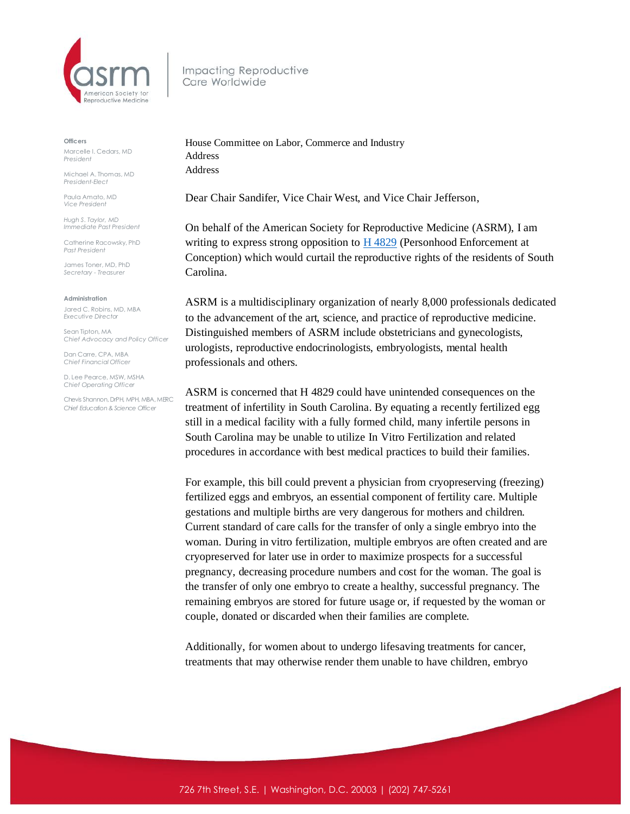

Impacting Reproductive Care Worldwide

## **Officers**

Marcelle I. Cedars, MD *President*

Michael A. Thomas, MD *President-Elect*

Paula Amato, MD *Vice President*

*Hugh S. Taylor, MD Immediate Past President*

Catherine Racowsky, PhD *Past President*

James Toner, MD, PhD *Secretary - Treasurer* 

## **Administration**

Jared C. Robins, MD, MBA *Executive Director*

Sean Tipton, MA *Chief Advocacy and Policy Officer*

Dan Carre, CPA, MBA *Chief Financial Officer*

D. Lee Pearce, MSW, MSHA *Chief Operating Officer* 

Chevis Shannon, DrPH, MPH, MBA, MERC *Chief Education & Science Officer*

House Committee on Labor, Commerce and Industry Address Address

Dear Chair Sandifer, Vice Chair West, and Vice Chair Jefferson,

On behalf of the American Society for Reproductive Medicine (ASRM), I am writing to express strong opposition to  $\underline{H}$  4829 (Personhood Enforcement at Conception) which would curtail the reproductive rights of the residents of South Carolina.

ASRM is a multidisciplinary organization of nearly 8,000 professionals dedicated to the advancement of the art, science, and practice of reproductive medicine. Distinguished members of ASRM include obstetricians and gynecologists, urologists, reproductive endocrinologists, embryologists, mental health professionals and others.

ASRM is concerned that H 4829 could have unintended consequences on the treatment of infertility in South Carolina. By equating a recently fertilized egg still in a medical facility with a fully formed child, many infertile persons in South Carolina may be unable to utilize In Vitro Fertilization and related procedures in accordance with best medical practices to build their families.

For example, this bill could prevent a physician from cryopreserving (freezing) fertilized eggs and embryos, an essential component of fertility care. Multiple gestations and multiple births are very dangerous for mothers and children. Current standard of care calls for the transfer of only a single embryo into the woman. During in vitro fertilization, multiple embryos are often created and are cryopreserved for later use in order to maximize prospects for a successful pregnancy, decreasing procedure numbers and cost for the woman. The goal is the transfer of only one embryo to create a healthy, successful pregnancy. The remaining embryos are stored for future usage or, if requested by the woman or couple, donated or discarded when their families are complete.

Additionally, for women about to undergo lifesaving treatments for cancer, treatments that may otherwise render them unable to have children, embryo